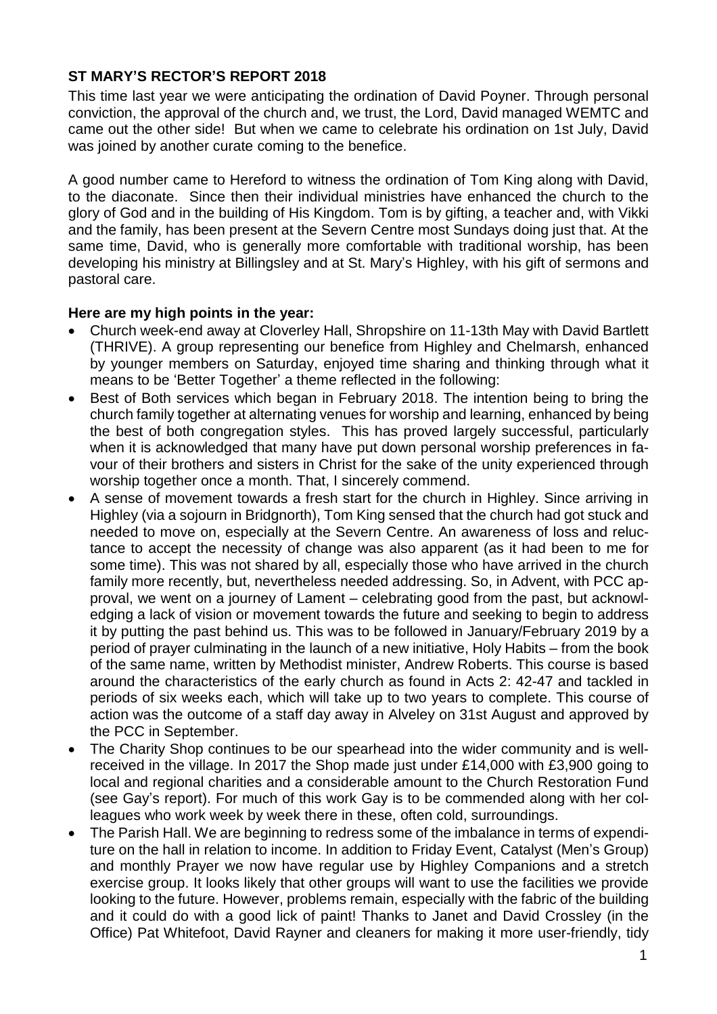### **ST MARY'S RECTOR'S REPORT 2018**

This time last year we were anticipating the ordination of David Poyner. Through personal conviction, the approval of the church and, we trust, the Lord, David managed WEMTC and came out the other side! But when we came to celebrate his ordination on 1st July, David was joined by another curate coming to the benefice.

A good number came to Hereford to witness the ordination of Tom King along with David, to the diaconate. Since then their individual ministries have enhanced the church to the glory of God and in the building of His Kingdom. Tom is by gifting, a teacher and, with Vikki and the family, has been present at the Severn Centre most Sundays doing just that. At the same time, David, who is generally more comfortable with traditional worship, has been developing his ministry at Billingsley and at St. Mary's Highley, with his gift of sermons and pastoral care.

#### **Here are my high points in the year:**

- Church week-end away at Cloverley Hall, Shropshire on 11-13th May with David Bartlett (THRIVE). A group representing our benefice from Highley and Chelmarsh, enhanced by younger members on Saturday, enjoyed time sharing and thinking through what it means to be 'Better Together' a theme reflected in the following:
- Best of Both services which began in February 2018. The intention being to bring the church family together at alternating venues for worship and learning, enhanced by being the best of both congregation styles. This has proved largely successful, particularly when it is acknowledged that many have put down personal worship preferences in favour of their brothers and sisters in Christ for the sake of the unity experienced through worship together once a month. That, I sincerely commend.
- A sense of movement towards a fresh start for the church in Highley. Since arriving in Highley (via a sojourn in Bridgnorth), Tom King sensed that the church had got stuck and needed to move on, especially at the Severn Centre. An awareness of loss and reluctance to accept the necessity of change was also apparent (as it had been to me for some time). This was not shared by all, especially those who have arrived in the church family more recently, but, nevertheless needed addressing. So, in Advent, with PCC approval, we went on a journey of Lament – celebrating good from the past, but acknowledging a lack of vision or movement towards the future and seeking to begin to address it by putting the past behind us. This was to be followed in January/February 2019 by a period of prayer culminating in the launch of a new initiative, Holy Habits – from the book of the same name, written by Methodist minister, Andrew Roberts. This course is based around the characteristics of the early church as found in Acts 2: 42-47 and tackled in periods of six weeks each, which will take up to two years to complete. This course of action was the outcome of a staff day away in Alveley on 31st August and approved by the PCC in September.
- The Charity Shop continues to be our spearhead into the wider community and is wellreceived in the village. In 2017 the Shop made just under £14,000 with £3,900 going to local and regional charities and a considerable amount to the Church Restoration Fund (see Gay's report). For much of this work Gay is to be commended along with her colleagues who work week by week there in these, often cold, surroundings.
- The Parish Hall. We are beginning to redress some of the imbalance in terms of expenditure on the hall in relation to income. In addition to Friday Event, Catalyst (Men's Group) and monthly Prayer we now have regular use by Highley Companions and a stretch exercise group. It looks likely that other groups will want to use the facilities we provide looking to the future. However, problems remain, especially with the fabric of the building and it could do with a good lick of paint! Thanks to Janet and David Crossley (in the Office) Pat Whitefoot, David Rayner and cleaners for making it more user-friendly, tidy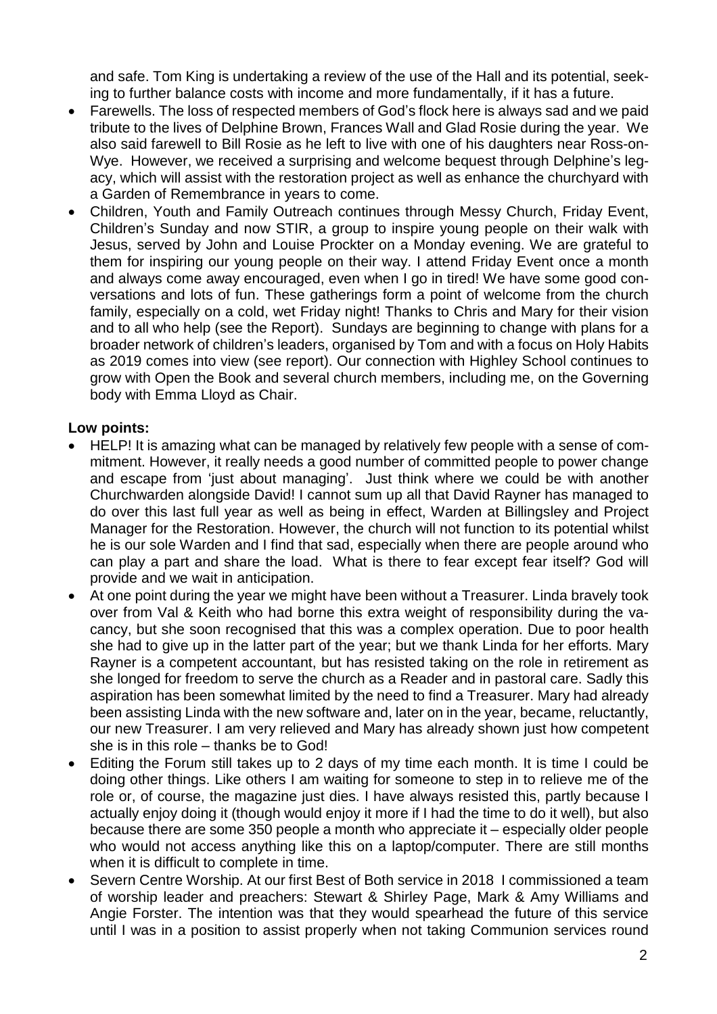and safe. Tom King is undertaking a review of the use of the Hall and its potential, seeking to further balance costs with income and more fundamentally, if it has a future.

- Farewells. The loss of respected members of God's flock here is always sad and we paid tribute to the lives of Delphine Brown, Frances Wall and Glad Rosie during the year. We also said farewell to Bill Rosie as he left to live with one of his daughters near Ross-on-Wye. However, we received a surprising and welcome bequest through Delphine's legacy, which will assist with the restoration project as well as enhance the churchyard with a Garden of Remembrance in years to come.
- Children, Youth and Family Outreach continues through Messy Church, Friday Event, Children's Sunday and now STIR, a group to inspire young people on their walk with Jesus, served by John and Louise Prockter on a Monday evening. We are grateful to them for inspiring our young people on their way. I attend Friday Event once a month and always come away encouraged, even when I go in tired! We have some good conversations and lots of fun. These gatherings form a point of welcome from the church family, especially on a cold, wet Friday night! Thanks to Chris and Mary for their vision and to all who help (see the Report). Sundays are beginning to change with plans for a broader network of children's leaders, organised by Tom and with a focus on Holy Habits as 2019 comes into view (see report). Our connection with Highley School continues to grow with Open the Book and several church members, including me, on the Governing body with Emma Lloyd as Chair.

### **Low points:**

- HELP! It is amazing what can be managed by relatively few people with a sense of commitment. However, it really needs a good number of committed people to power change and escape from 'just about managing'. Just think where we could be with another Churchwarden alongside David! I cannot sum up all that David Rayner has managed to do over this last full year as well as being in effect, Warden at Billingsley and Project Manager for the Restoration. However, the church will not function to its potential whilst he is our sole Warden and I find that sad, especially when there are people around who can play a part and share the load. What is there to fear except fear itself? God will provide and we wait in anticipation.
- At one point during the year we might have been without a Treasurer. Linda bravely took over from Val & Keith who had borne this extra weight of responsibility during the vacancy, but she soon recognised that this was a complex operation. Due to poor health she had to give up in the latter part of the year; but we thank Linda for her efforts. Mary Rayner is a competent accountant, but has resisted taking on the role in retirement as she longed for freedom to serve the church as a Reader and in pastoral care. Sadly this aspiration has been somewhat limited by the need to find a Treasurer. Mary had already been assisting Linda with the new software and, later on in the year, became, reluctantly, our new Treasurer. I am very relieved and Mary has already shown just how competent she is in this role – thanks be to God!
- Editing the Forum still takes up to 2 days of my time each month. It is time I could be doing other things. Like others I am waiting for someone to step in to relieve me of the role or, of course, the magazine just dies. I have always resisted this, partly because I actually enjoy doing it (though would enjoy it more if I had the time to do it well), but also because there are some 350 people a month who appreciate it – especially older people who would not access anything like this on a laptop/computer. There are still months when it is difficult to complete in time.
- Severn Centre Worship. At our first Best of Both service in 2018 I commissioned a team of worship leader and preachers: Stewart & Shirley Page, Mark & Amy Williams and Angie Forster. The intention was that they would spearhead the future of this service until I was in a position to assist properly when not taking Communion services round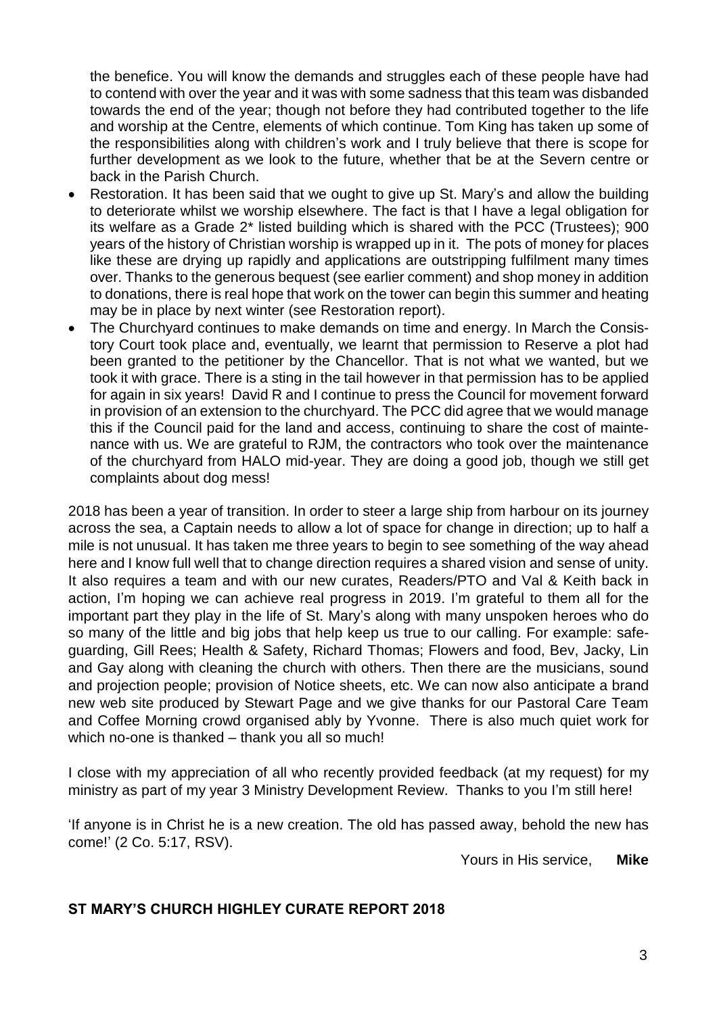the benefice. You will know the demands and struggles each of these people have had to contend with over the year and it was with some sadness that this team was disbanded towards the end of the year; though not before they had contributed together to the life and worship at the Centre, elements of which continue. Tom King has taken up some of the responsibilities along with children's work and I truly believe that there is scope for further development as we look to the future, whether that be at the Severn centre or back in the Parish Church.

- Restoration. It has been said that we ought to give up St. Mary's and allow the building to deteriorate whilst we worship elsewhere. The fact is that I have a legal obligation for its welfare as a Grade 2\* listed building which is shared with the PCC (Trustees); 900 years of the history of Christian worship is wrapped up in it. The pots of money for places like these are drying up rapidly and applications are outstripping fulfilment many times over. Thanks to the generous bequest (see earlier comment) and shop money in addition to donations, there is real hope that work on the tower can begin this summer and heating may be in place by next winter (see Restoration report).
- The Churchyard continues to make demands on time and energy. In March the Consistory Court took place and, eventually, we learnt that permission to Reserve a plot had been granted to the petitioner by the Chancellor. That is not what we wanted, but we took it with grace. There is a sting in the tail however in that permission has to be applied for again in six years! David R and I continue to press the Council for movement forward in provision of an extension to the churchyard. The PCC did agree that we would manage this if the Council paid for the land and access, continuing to share the cost of maintenance with us. We are grateful to RJM, the contractors who took over the maintenance of the churchyard from HALO mid-year. They are doing a good job, though we still get complaints about dog mess!

2018 has been a year of transition. In order to steer a large ship from harbour on its journey across the sea, a Captain needs to allow a lot of space for change in direction; up to half a mile is not unusual. It has taken me three years to begin to see something of the way ahead here and I know full well that to change direction requires a shared vision and sense of unity. It also requires a team and with our new curates, Readers/PTO and Val & Keith back in action, I'm hoping we can achieve real progress in 2019. I'm grateful to them all for the important part they play in the life of St. Mary's along with many unspoken heroes who do so many of the little and big jobs that help keep us true to our calling. For example: safeguarding, Gill Rees; Health & Safety, Richard Thomas; Flowers and food, Bev, Jacky, Lin and Gay along with cleaning the church with others. Then there are the musicians, sound and projection people; provision of Notice sheets, etc. We can now also anticipate a brand new web site produced by Stewart Page and we give thanks for our Pastoral Care Team and Coffee Morning crowd organised ably by Yvonne. There is also much quiet work for which no-one is thanked – thank you all so much!

I close with my appreciation of all who recently provided feedback (at my request) for my ministry as part of my year 3 Ministry Development Review. Thanks to you I'm still here!

'If anyone is in Christ he is a new creation. The old has passed away, behold the new has come!' (2 Co. 5:17, RSV).

Yours in His service, **Mike**

### **ST MARY'S CHURCH HIGHLEY CURATE REPORT 2018**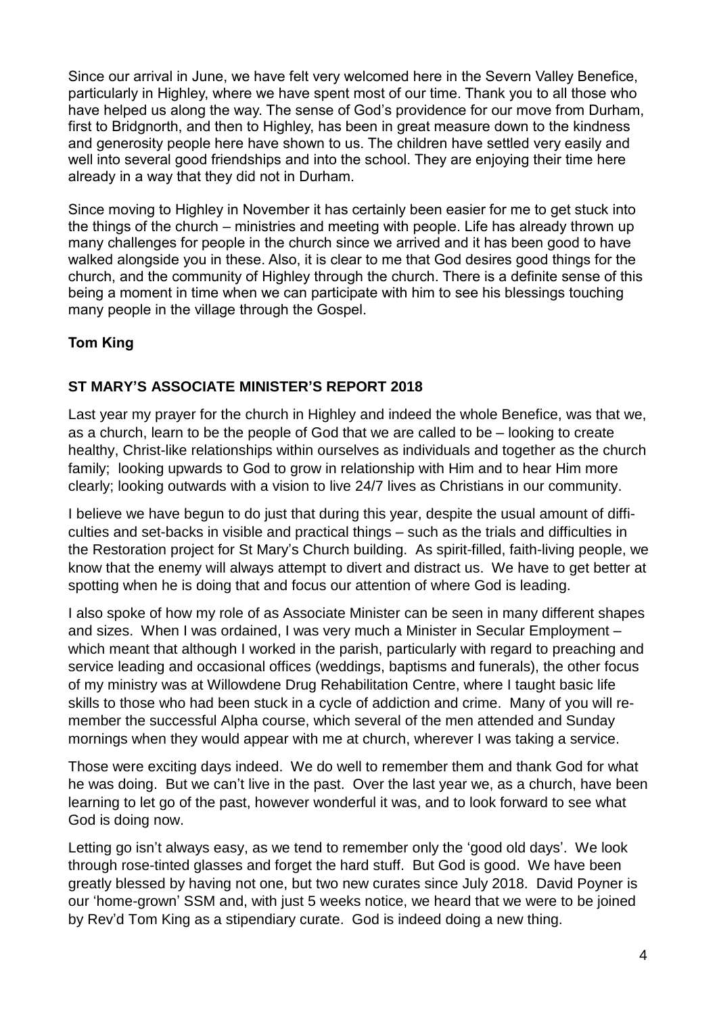Since our arrival in June, we have felt very welcomed here in the Severn Valley Benefice, particularly in Highley, where we have spent most of our time. Thank you to all those who have helped us along the way. The sense of God's providence for our move from Durham, first to Bridgnorth, and then to Highley, has been in great measure down to the kindness and generosity people here have shown to us. The children have settled very easily and well into several good friendships and into the school. They are enjoying their time here already in a way that they did not in Durham.

Since moving to Highley in November it has certainly been easier for me to get stuck into the things of the church – ministries and meeting with people. Life has already thrown up many challenges for people in the church since we arrived and it has been good to have walked alongside you in these. Also, it is clear to me that God desires good things for the church, and the community of Highley through the church. There is a definite sense of this being a moment in time when we can participate with him to see his blessings touching many people in the village through the Gospel.

# **Tom King**

### **ST MARY'S ASSOCIATE MINISTER'S REPORT 2018**

Last year my prayer for the church in Highley and indeed the whole Benefice, was that we, as a church, learn to be the people of God that we are called to be – looking to create healthy, Christ-like relationships within ourselves as individuals and together as the church family; looking upwards to God to grow in relationship with Him and to hear Him more clearly; looking outwards with a vision to live 24/7 lives as Christians in our community.

I believe we have begun to do just that during this year, despite the usual amount of difficulties and set-backs in visible and practical things – such as the trials and difficulties in the Restoration project for St Mary's Church building. As spirit-filled, faith-living people, we know that the enemy will always attempt to divert and distract us. We have to get better at spotting when he is doing that and focus our attention of where God is leading.

I also spoke of how my role of as Associate Minister can be seen in many different shapes and sizes. When I was ordained, I was very much a Minister in Secular Employment – which meant that although I worked in the parish, particularly with regard to preaching and service leading and occasional offices (weddings, baptisms and funerals), the other focus of my ministry was at Willowdene Drug Rehabilitation Centre, where I taught basic life skills to those who had been stuck in a cycle of addiction and crime. Many of you will remember the successful Alpha course, which several of the men attended and Sunday mornings when they would appear with me at church, wherever I was taking a service.

Those were exciting days indeed. We do well to remember them and thank God for what he was doing. But we can't live in the past. Over the last year we, as a church, have been learning to let go of the past, however wonderful it was, and to look forward to see what God is doing now.

Letting go isn't always easy, as we tend to remember only the 'good old days'. We look through rose-tinted glasses and forget the hard stuff. But God is good. We have been greatly blessed by having not one, but two new curates since July 2018. David Poyner is our 'home-grown' SSM and, with just 5 weeks notice, we heard that we were to be joined by Rev'd Tom King as a stipendiary curate. God is indeed doing a new thing.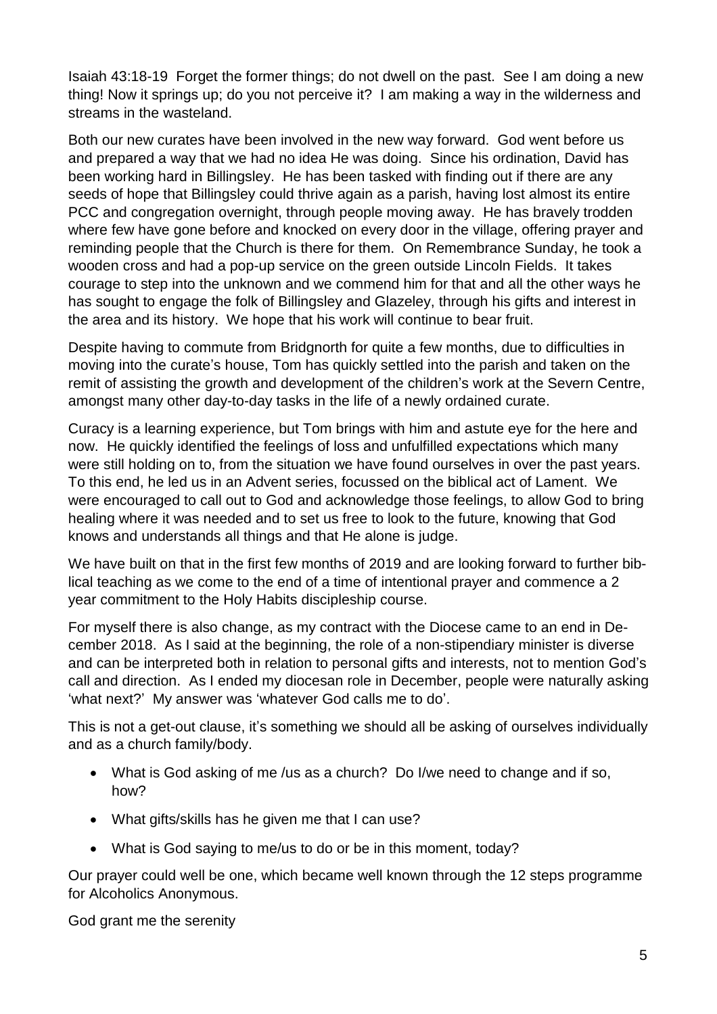Isaiah 43:18-19 Forget the former things; do not dwell on the past. See I am doing a new thing! Now it springs up; do you not perceive it? I am making a way in the wilderness and streams in the wasteland.

Both our new curates have been involved in the new way forward. God went before us and prepared a way that we had no idea He was doing. Since his ordination, David has been working hard in Billingsley. He has been tasked with finding out if there are any seeds of hope that Billingsley could thrive again as a parish, having lost almost its entire PCC and congregation overnight, through people moving away. He has bravely trodden where few have gone before and knocked on every door in the village, offering prayer and reminding people that the Church is there for them. On Remembrance Sunday, he took a wooden cross and had a pop-up service on the green outside Lincoln Fields. It takes courage to step into the unknown and we commend him for that and all the other ways he has sought to engage the folk of Billingsley and Glazeley, through his gifts and interest in the area and its history. We hope that his work will continue to bear fruit.

Despite having to commute from Bridgnorth for quite a few months, due to difficulties in moving into the curate's house, Tom has quickly settled into the parish and taken on the remit of assisting the growth and development of the children's work at the Severn Centre, amongst many other day-to-day tasks in the life of a newly ordained curate.

Curacy is a learning experience, but Tom brings with him and astute eye for the here and now. He quickly identified the feelings of loss and unfulfilled expectations which many were still holding on to, from the situation we have found ourselves in over the past years. To this end, he led us in an Advent series, focussed on the biblical act of Lament. We were encouraged to call out to God and acknowledge those feelings, to allow God to bring healing where it was needed and to set us free to look to the future, knowing that God knows and understands all things and that He alone is judge.

We have built on that in the first few months of 2019 and are looking forward to further biblical teaching as we come to the end of a time of intentional prayer and commence a 2 year commitment to the Holy Habits discipleship course.

For myself there is also change, as my contract with the Diocese came to an end in December 2018. As I said at the beginning, the role of a non-stipendiary minister is diverse and can be interpreted both in relation to personal gifts and interests, not to mention God's call and direction. As I ended my diocesan role in December, people were naturally asking 'what next?' My answer was 'whatever God calls me to do'.

This is not a get-out clause, it's something we should all be asking of ourselves individually and as a church family/body.

- What is God asking of me /us as a church? Do I/we need to change and if so, how?
- What gifts/skills has he given me that I can use?
- What is God saying to me/us to do or be in this moment, today?

Our prayer could well be one, which became well known through the 12 steps programme for Alcoholics Anonymous.

God grant me the serenity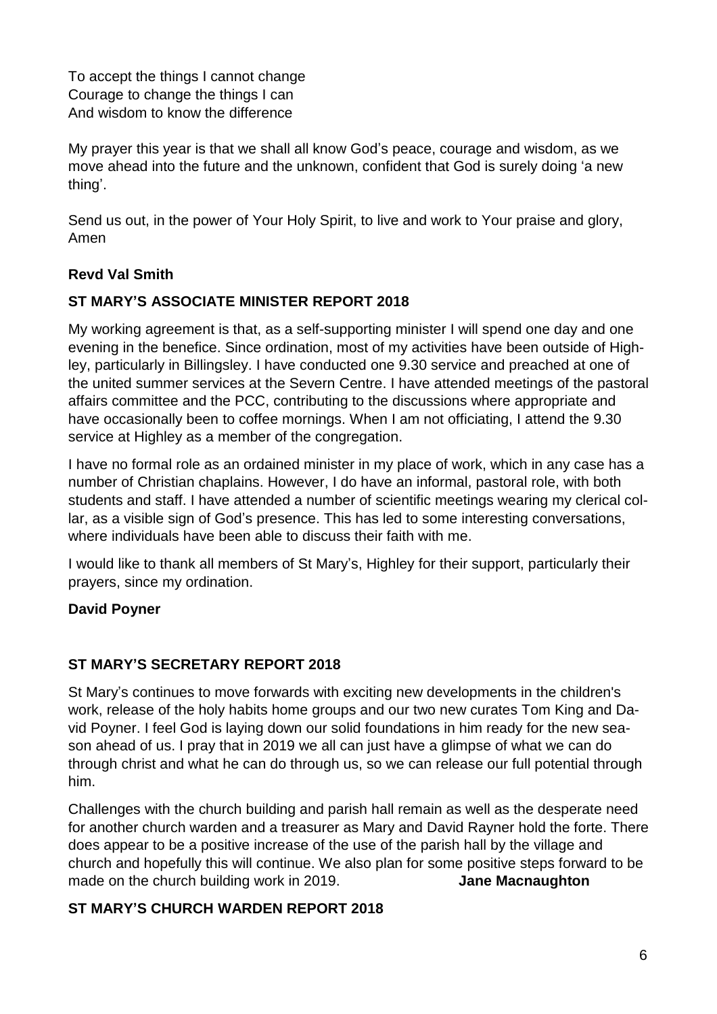To accept the things I cannot change Courage to change the things I can And wisdom to know the difference

My prayer this year is that we shall all know God's peace, courage and wisdom, as we move ahead into the future and the unknown, confident that God is surely doing 'a new thing'.

Send us out, in the power of Your Holy Spirit, to live and work to Your praise and glory, Amen

# **Revd Val Smith**

# **ST MARY'S ASSOCIATE MINISTER REPORT 2018**

My working agreement is that, as a self-supporting minister I will spend one day and one evening in the benefice. Since ordination, most of my activities have been outside of Highley, particularly in Billingsley. I have conducted one 9.30 service and preached at one of the united summer services at the Severn Centre. I have attended meetings of the pastoral affairs committee and the PCC, contributing to the discussions where appropriate and have occasionally been to coffee mornings. When I am not officiating, I attend the 9.30 service at Highley as a member of the congregation.

I have no formal role as an ordained minister in my place of work, which in any case has a number of Christian chaplains. However, I do have an informal, pastoral role, with both students and staff. I have attended a number of scientific meetings wearing my clerical collar, as a visible sign of God's presence. This has led to some interesting conversations, where individuals have been able to discuss their faith with me.

I would like to thank all members of St Mary's, Highley for their support, particularly their prayers, since my ordination.

### **David Poyner**

### **ST MARY'S SECRETARY REPORT 2018**

St Mary's continues to move forwards with exciting new developments in the children's work, release of the holy habits home groups and our two new curates Tom King and David Poyner. I feel God is laying down our solid foundations in him ready for the new season ahead of us. I pray that in 2019 we all can just have a glimpse of what we can do through christ and what he can do through us, so we can release our full potential through him.

Challenges with the church building and parish hall remain as well as the desperate need for another church warden and a treasurer as Mary and David Rayner hold the forte. There does appear to be a positive increase of the use of the parish hall by the village and church and hopefully this will continue. We also plan for some positive steps forward to be made on the church building work in 2019. **Jane Macnaughton**

### **ST MARY'S CHURCH WARDEN REPORT 2018**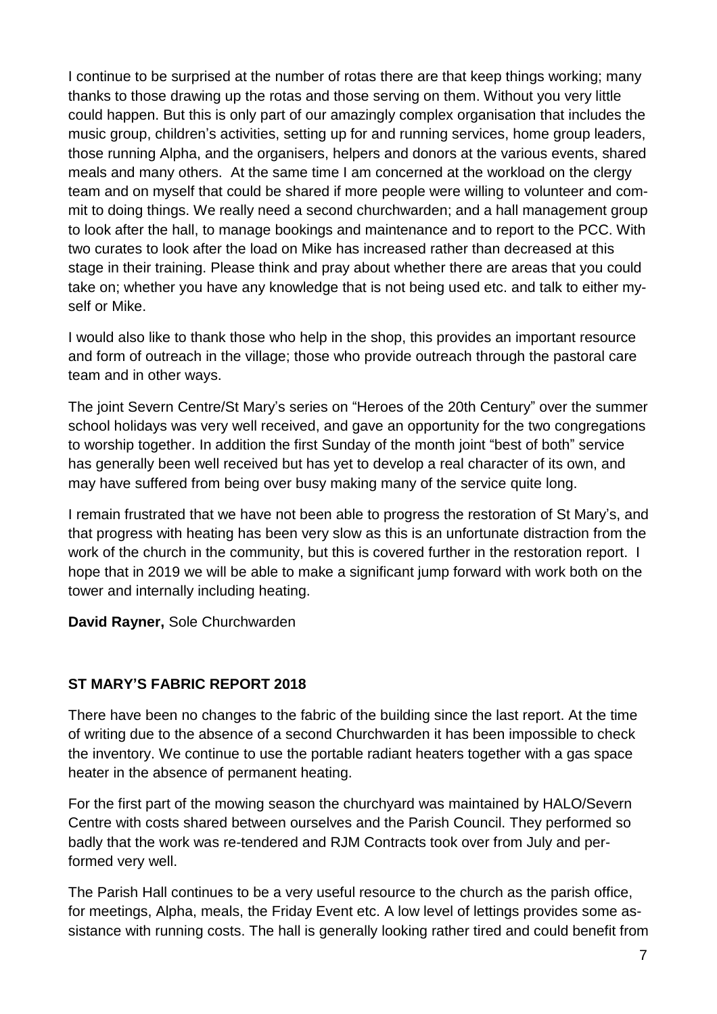I continue to be surprised at the number of rotas there are that keep things working; many thanks to those drawing up the rotas and those serving on them. Without you very little could happen. But this is only part of our amazingly complex organisation that includes the music group, children's activities, setting up for and running services, home group leaders, those running Alpha, and the organisers, helpers and donors at the various events, shared meals and many others. At the same time I am concerned at the workload on the clergy team and on myself that could be shared if more people were willing to volunteer and commit to doing things. We really need a second churchwarden; and a hall management group to look after the hall, to manage bookings and maintenance and to report to the PCC. With two curates to look after the load on Mike has increased rather than decreased at this stage in their training. Please think and pray about whether there are areas that you could take on; whether you have any knowledge that is not being used etc. and talk to either myself or Mike.

I would also like to thank those who help in the shop, this provides an important resource and form of outreach in the village; those who provide outreach through the pastoral care team and in other ways.

The joint Severn Centre/St Mary's series on "Heroes of the 20th Century" over the summer school holidays was very well received, and gave an opportunity for the two congregations to worship together. In addition the first Sunday of the month joint "best of both" service has generally been well received but has yet to develop a real character of its own, and may have suffered from being over busy making many of the service quite long.

I remain frustrated that we have not been able to progress the restoration of St Mary's, and that progress with heating has been very slow as this is an unfortunate distraction from the work of the church in the community, but this is covered further in the restoration report. I hope that in 2019 we will be able to make a significant jump forward with work both on the tower and internally including heating.

**David Rayner,** Sole Churchwarden

# **ST MARY'S FABRIC REPORT 2018**

There have been no changes to the fabric of the building since the last report. At the time of writing due to the absence of a second Churchwarden it has been impossible to check the inventory. We continue to use the portable radiant heaters together with a gas space heater in the absence of permanent heating.

For the first part of the mowing season the churchyard was maintained by HALO/Severn Centre with costs shared between ourselves and the Parish Council. They performed so badly that the work was re-tendered and RJM Contracts took over from July and performed very well.

The Parish Hall continues to be a very useful resource to the church as the parish office, for meetings, Alpha, meals, the Friday Event etc. A low level of lettings provides some assistance with running costs. The hall is generally looking rather tired and could benefit from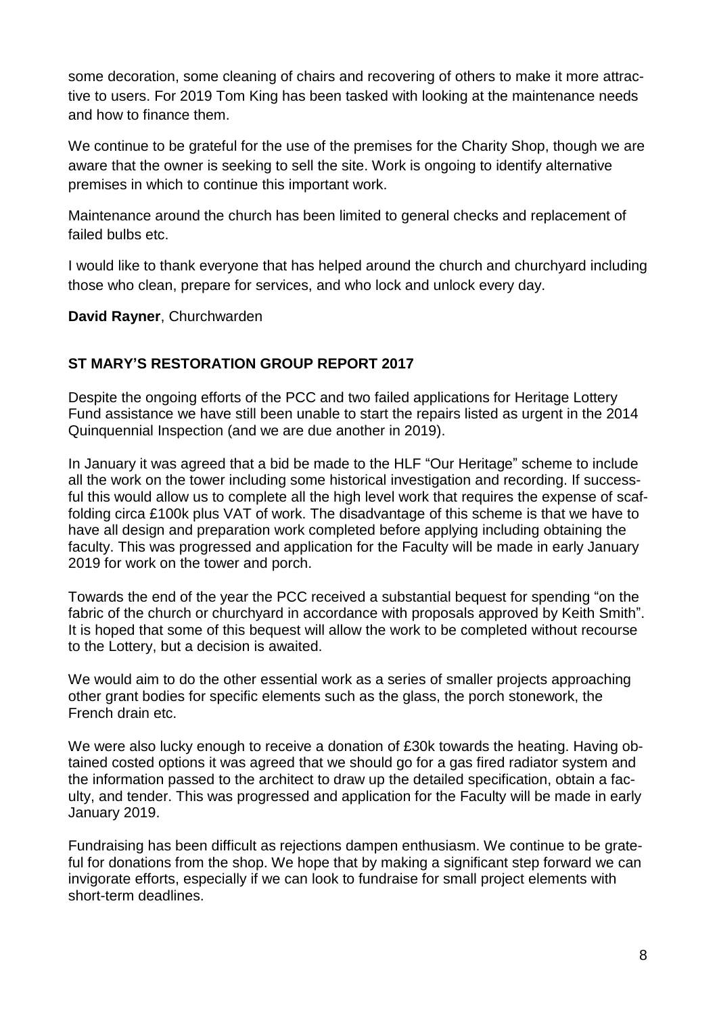some decoration, some cleaning of chairs and recovering of others to make it more attractive to users. For 2019 Tom King has been tasked with looking at the maintenance needs and how to finance them.

We continue to be grateful for the use of the premises for the Charity Shop, though we are aware that the owner is seeking to sell the site. Work is ongoing to identify alternative premises in which to continue this important work.

Maintenance around the church has been limited to general checks and replacement of failed bulbs etc.

I would like to thank everyone that has helped around the church and churchyard including those who clean, prepare for services, and who lock and unlock every day.

**David Rayner**, Churchwarden

# **ST MARY'S RESTORATION GROUP REPORT 2017**

Despite the ongoing efforts of the PCC and two failed applications for Heritage Lottery Fund assistance we have still been unable to start the repairs listed as urgent in the 2014 Quinquennial Inspection (and we are due another in 2019).

In January it was agreed that a bid be made to the HLF "Our Heritage" scheme to include all the work on the tower including some historical investigation and recording. If successful this would allow us to complete all the high level work that requires the expense of scaffolding circa £100k plus VAT of work. The disadvantage of this scheme is that we have to have all design and preparation work completed before applying including obtaining the faculty. This was progressed and application for the Faculty will be made in early January 2019 for work on the tower and porch.

Towards the end of the year the PCC received a substantial bequest for spending "on the fabric of the church or churchyard in accordance with proposals approved by Keith Smith". It is hoped that some of this bequest will allow the work to be completed without recourse to the Lottery, but a decision is awaited.

We would aim to do the other essential work as a series of smaller projects approaching other grant bodies for specific elements such as the glass, the porch stonework, the French drain etc.

We were also lucky enough to receive a donation of £30k towards the heating. Having obtained costed options it was agreed that we should go for a gas fired radiator system and the information passed to the architect to draw up the detailed specification, obtain a faculty, and tender. This was progressed and application for the Faculty will be made in early January 2019.

Fundraising has been difficult as rejections dampen enthusiasm. We continue to be grateful for donations from the shop. We hope that by making a significant step forward we can invigorate efforts, especially if we can look to fundraise for small project elements with short-term deadlines.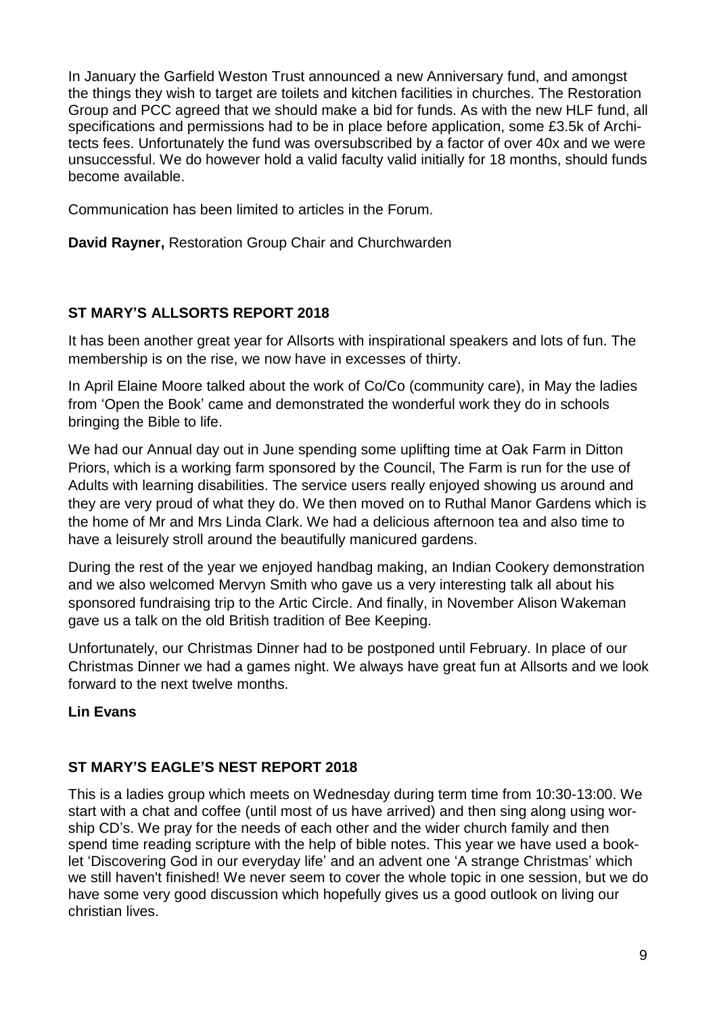In January the Garfield Weston Trust announced a new Anniversary fund, and amongst the things they wish to target are toilets and kitchen facilities in churches. The Restoration Group and PCC agreed that we should make a bid for funds. As with the new HLF fund, all specifications and permissions had to be in place before application, some £3.5k of Architects fees. Unfortunately the fund was oversubscribed by a factor of over 40x and we were unsuccessful. We do however hold a valid faculty valid initially for 18 months, should funds become available.

Communication has been limited to articles in the Forum.

**David Rayner,** Restoration Group Chair and Churchwarden

# **ST MARY'S ALLSORTS REPORT 2018**

It has been another great year for Allsorts with inspirational speakers and lots of fun. The membership is on the rise, we now have in excesses of thirty.

In April Elaine Moore talked about the work of Co/Co (community care), in May the ladies from 'Open the Book' came and demonstrated the wonderful work they do in schools bringing the Bible to life.

We had our Annual day out in June spending some uplifting time at Oak Farm in Ditton Priors, which is a working farm sponsored by the Council, The Farm is run for the use of Adults with learning disabilities. The service users really enjoyed showing us around and they are very proud of what they do. We then moved on to Ruthal Manor Gardens which is the home of Mr and Mrs Linda Clark. We had a delicious afternoon tea and also time to have a leisurely stroll around the beautifully manicured gardens.

During the rest of the year we enjoyed handbag making, an Indian Cookery demonstration and we also welcomed Mervyn Smith who gave us a very interesting talk all about his sponsored fundraising trip to the Artic Circle. And finally, in November Alison Wakeman gave us a talk on the old British tradition of Bee Keeping.

Unfortunately, our Christmas Dinner had to be postponed until February. In place of our Christmas Dinner we had a games night. We always have great fun at Allsorts and we look forward to the next twelve months.

# **Lin Evans**

### **ST MARY'S EAGLE'S NEST REPORT 2018**

This is a ladies group which meets on Wednesday during term time from 10:30-13:00. We start with a chat and coffee (until most of us have arrived) and then sing along using worship CD's. We pray for the needs of each other and the wider church family and then spend time reading scripture with the help of bible notes. This year we have used a booklet 'Discovering God in our everyday life' and an advent one 'A strange Christmas' which we still haven't finished! We never seem to cover the whole topic in one session, but we do have some very good discussion which hopefully gives us a good outlook on living our christian lives.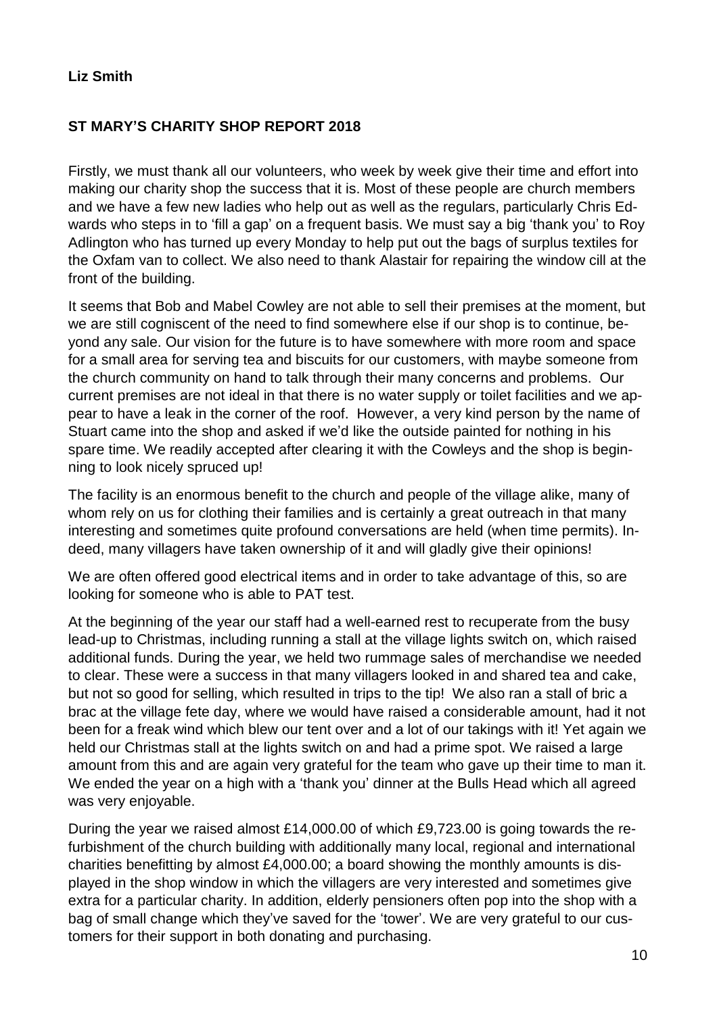#### **Liz Smith**

### **ST MARY'S CHARITY SHOP REPORT 2018**

Firstly, we must thank all our volunteers, who week by week give their time and effort into making our charity shop the success that it is. Most of these people are church members and we have a few new ladies who help out as well as the regulars, particularly Chris Edwards who steps in to 'fill a gap' on a frequent basis. We must say a big 'thank you' to Roy Adlington who has turned up every Monday to help put out the bags of surplus textiles for the Oxfam van to collect. We also need to thank Alastair for repairing the window cill at the front of the building.

It seems that Bob and Mabel Cowley are not able to sell their premises at the moment, but we are still cogniscent of the need to find somewhere else if our shop is to continue, beyond any sale. Our vision for the future is to have somewhere with more room and space for a small area for serving tea and biscuits for our customers, with maybe someone from the church community on hand to talk through their many concerns and problems. Our current premises are not ideal in that there is no water supply or toilet facilities and we appear to have a leak in the corner of the roof. However, a very kind person by the name of Stuart came into the shop and asked if we'd like the outside painted for nothing in his spare time. We readily accepted after clearing it with the Cowleys and the shop is beginning to look nicely spruced up!

The facility is an enormous benefit to the church and people of the village alike, many of whom rely on us for clothing their families and is certainly a great outreach in that many interesting and sometimes quite profound conversations are held (when time permits). Indeed, many villagers have taken ownership of it and will gladly give their opinions!

We are often offered good electrical items and in order to take advantage of this, so are looking for someone who is able to PAT test.

At the beginning of the year our staff had a well-earned rest to recuperate from the busy lead-up to Christmas, including running a stall at the village lights switch on, which raised additional funds. During the year, we held two rummage sales of merchandise we needed to clear. These were a success in that many villagers looked in and shared tea and cake, but not so good for selling, which resulted in trips to the tip! We also ran a stall of bric a brac at the village fete day, where we would have raised a considerable amount, had it not been for a freak wind which blew our tent over and a lot of our takings with it! Yet again we held our Christmas stall at the lights switch on and had a prime spot. We raised a large amount from this and are again very grateful for the team who gave up their time to man it. We ended the year on a high with a 'thank you' dinner at the Bulls Head which all agreed was very enjoyable.

During the year we raised almost £14,000.00 of which £9,723.00 is going towards the refurbishment of the church building with additionally many local, regional and international charities benefitting by almost £4,000.00; a board showing the monthly amounts is displayed in the shop window in which the villagers are very interested and sometimes give extra for a particular charity. In addition, elderly pensioners often pop into the shop with a bag of small change which they've saved for the 'tower'. We are very grateful to our customers for their support in both donating and purchasing.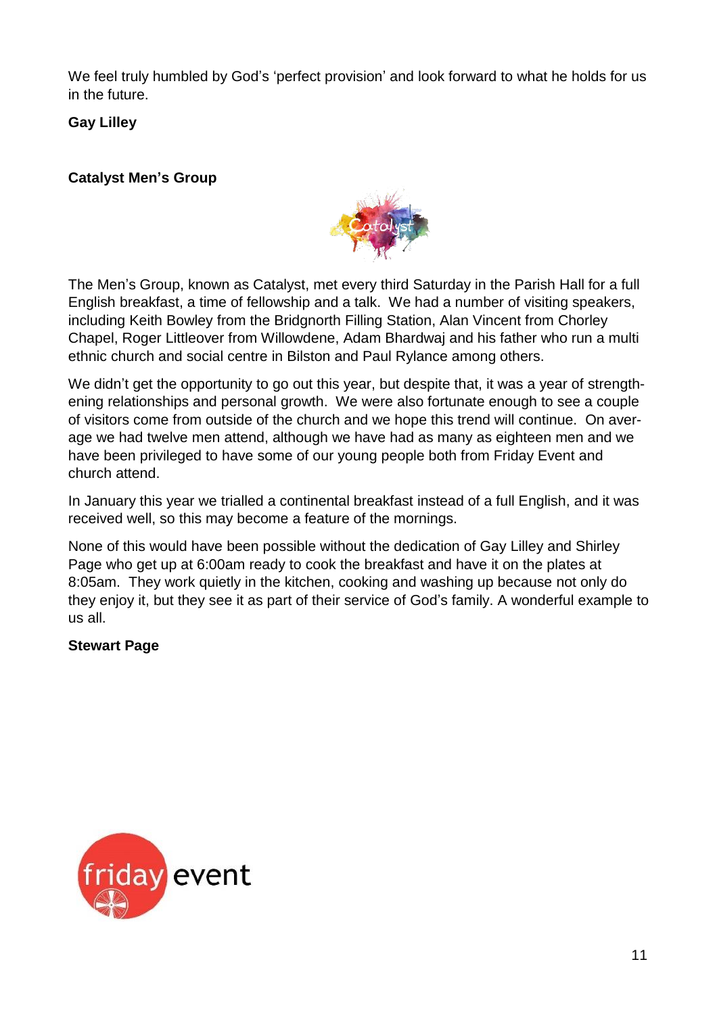We feel truly humbled by God's 'perfect provision' and look forward to what he holds for us in the future.

**Gay Lilley**

# **Catalyst Men's Group**



The Men's Group, known as Catalyst, met every third Saturday in the Parish Hall for a full English breakfast, a time of fellowship and a talk. We had a number of visiting speakers, including Keith Bowley from the Bridgnorth Filling Station, Alan Vincent from Chorley Chapel, Roger Littleover from Willowdene, Adam Bhardwaj and his father who run a multi ethnic church and social centre in Bilston and Paul Rylance among others.

We didn't get the opportunity to go out this year, but despite that, it was a year of strengthening relationships and personal growth. We were also fortunate enough to see a couple of visitors come from outside of the church and we hope this trend will continue. On average we had twelve men attend, although we have had as many as eighteen men and we have been privileged to have some of our young people both from Friday Event and church attend.

In January this year we trialled a continental breakfast instead of a full English, and it was received well, so this may become a feature of the mornings.

None of this would have been possible without the dedication of Gay Lilley and Shirley Page who get up at 6:00am ready to cook the breakfast and have it on the plates at 8:05am. They work quietly in the kitchen, cooking and washing up because not only do they enjoy it, but they see it as part of their service of God's family. A wonderful example to us all.

# **Stewart Page**

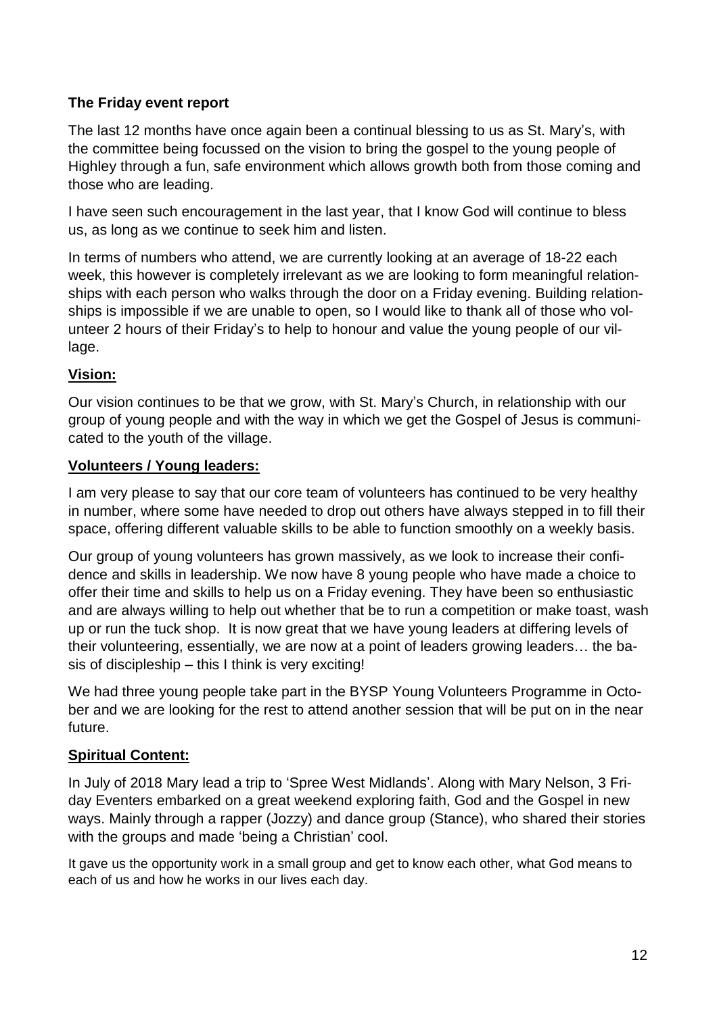# **The Friday event report**

The last 12 months have once again been a continual blessing to us as St. Mary's, with the committee being focussed on the vision to bring the gospel to the young people of Highley through a fun, safe environment which allows growth both from those coming and those who are leading.

I have seen such encouragement in the last year, that I know God will continue to bless us, as long as we continue to seek him and listen.

In terms of numbers who attend, we are currently looking at an average of 18-22 each week, this however is completely irrelevant as we are looking to form meaningful relationships with each person who walks through the door on a Friday evening. Building relationships is impossible if we are unable to open, so I would like to thank all of those who volunteer 2 hours of their Friday's to help to honour and value the young people of our village.

# **Vision:**

Our vision continues to be that we grow, with St. Mary's Church, in relationship with our group of young people and with the way in which we get the Gospel of Jesus is communicated to the youth of the village.

### **Volunteers / Young leaders:**

I am very please to say that our core team of volunteers has continued to be very healthy in number, where some have needed to drop out others have always stepped in to fill their space, offering different valuable skills to be able to function smoothly on a weekly basis.

Our group of young volunteers has grown massively, as we look to increase their confidence and skills in leadership. We now have 8 young people who have made a choice to offer their time and skills to help us on a Friday evening. They have been so enthusiastic and are always willing to help out whether that be to run a competition or make toast, wash up or run the tuck shop. It is now great that we have young leaders at differing levels of their volunteering, essentially, we are now at a point of leaders growing leaders… the basis of discipleship – this I think is very exciting!

We had three young people take part in the BYSP Young Volunteers Programme in October and we are looking for the rest to attend another session that will be put on in the near future.

# **Spiritual Content:**

In July of 2018 Mary lead a trip to 'Spree West Midlands'. Along with Mary Nelson, 3 Friday Eventers embarked on a great weekend exploring faith, God and the Gospel in new ways. Mainly through a rapper (Jozzy) and dance group (Stance), who shared their stories with the groups and made 'being a Christian' cool.

It gave us the opportunity work in a small group and get to know each other, what God means to each of us and how he works in our lives each day.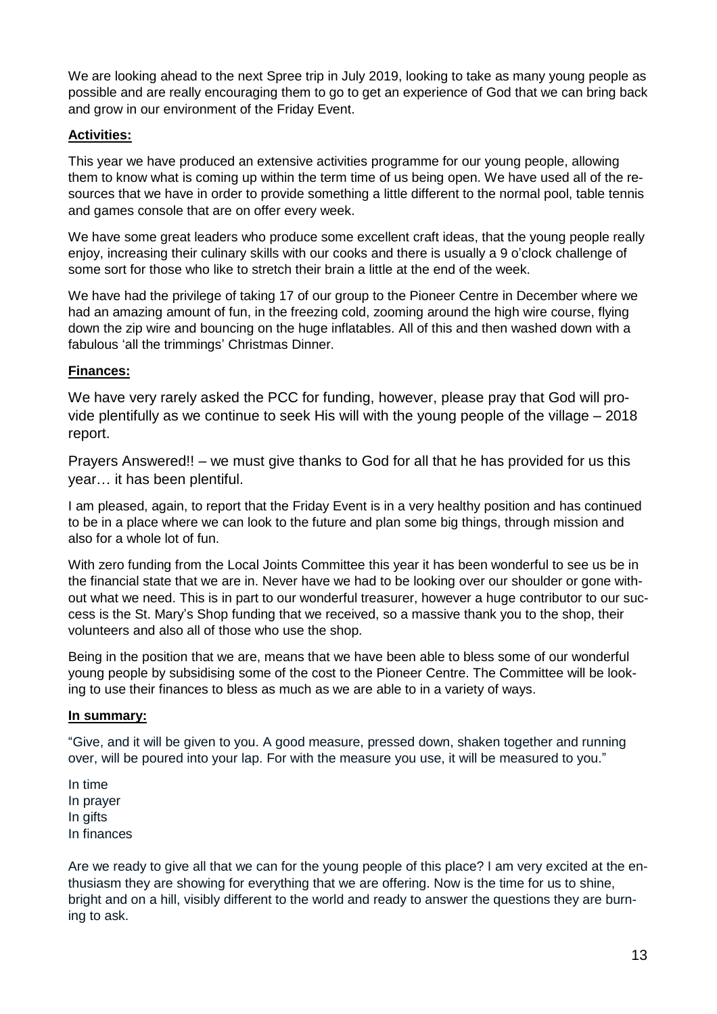We are looking ahead to the next Spree trip in July 2019, looking to take as many young people as possible and are really encouraging them to go to get an experience of God that we can bring back and grow in our environment of the Friday Event.

#### **Activities:**

This year we have produced an extensive activities programme for our young people, allowing them to know what is coming up within the term time of us being open. We have used all of the resources that we have in order to provide something a little different to the normal pool, table tennis and games console that are on offer every week.

We have some great leaders who produce some excellent craft ideas, that the young people really enjoy, increasing their culinary skills with our cooks and there is usually a 9 o'clock challenge of some sort for those who like to stretch their brain a little at the end of the week.

We have had the privilege of taking 17 of our group to the Pioneer Centre in December where we had an amazing amount of fun, in the freezing cold, zooming around the high wire course, flying down the zip wire and bouncing on the huge inflatables. All of this and then washed down with a fabulous 'all the trimmings' Christmas Dinner.

#### **Finances:**

We have very rarely asked the PCC for funding, however, please pray that God will provide plentifully as we continue to seek His will with the young people of the village – 2018 report.

Prayers Answered!! – we must give thanks to God for all that he has provided for us this year… it has been plentiful.

I am pleased, again, to report that the Friday Event is in a very healthy position and has continued to be in a place where we can look to the future and plan some big things, through mission and also for a whole lot of fun.

With zero funding from the Local Joints Committee this year it has been wonderful to see us be in the financial state that we are in. Never have we had to be looking over our shoulder or gone without what we need. This is in part to our wonderful treasurer, however a huge contributor to our success is the St. Mary's Shop funding that we received, so a massive thank you to the shop, their volunteers and also all of those who use the shop.

Being in the position that we are, means that we have been able to bless some of our wonderful young people by subsidising some of the cost to the Pioneer Centre. The Committee will be looking to use their finances to bless as much as we are able to in a variety of ways.

#### **In summary:**

"Give, and it will be given to you. A good measure, pressed down, shaken together and running over, will be poured into your lap. For with the measure you use, it will be measured to you."

In time In prayer In gifts In finances

Are we ready to give all that we can for the young people of this place? I am very excited at the enthusiasm they are showing for everything that we are offering. Now is the time for us to shine, bright and on a hill, visibly different to the world and ready to answer the questions they are burning to ask.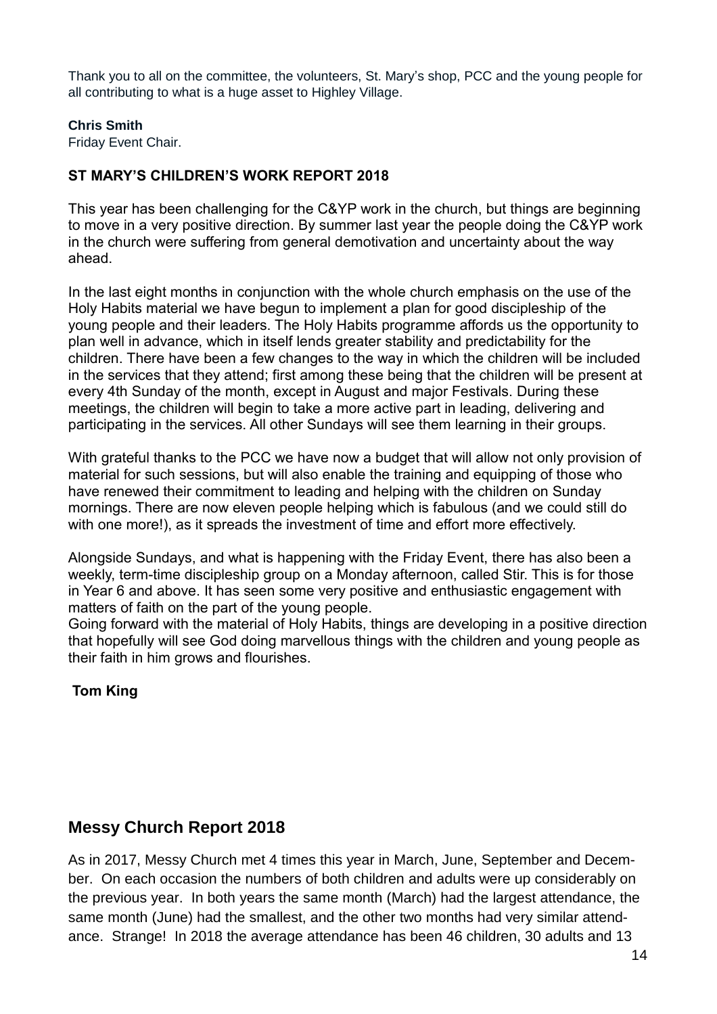Thank you to all on the committee, the volunteers, St. Mary's shop, PCC and the young people for all contributing to what is a huge asset to Highley Village.

#### **Chris Smith**

Friday Event Chair.

# **ST MARY'S CHILDREN'S WORK REPORT 2018**

This year has been challenging for the C&YP work in the church, but things are beginning to move in a very positive direction. By summer last year the people doing the C&YP work in the church were suffering from general demotivation and uncertainty about the way ahead.

In the last eight months in conjunction with the whole church emphasis on the use of the Holy Habits material we have begun to implement a plan for good discipleship of the young people and their leaders. The Holy Habits programme affords us the opportunity to plan well in advance, which in itself lends greater stability and predictability for the children. There have been a few changes to the way in which the children will be included in the services that they attend; first among these being that the children will be present at every 4th Sunday of the month, except in August and major Festivals. During these meetings, the children will begin to take a more active part in leading, delivering and participating in the services. All other Sundays will see them learning in their groups.

With grateful thanks to the PCC we have now a budget that will allow not only provision of material for such sessions, but will also enable the training and equipping of those who have renewed their commitment to leading and helping with the children on Sunday mornings. There are now eleven people helping which is fabulous (and we could still do with one more!), as it spreads the investment of time and effort more effectively.

Alongside Sundays, and what is happening with the Friday Event, there has also been a weekly, term-time discipleship group on a Monday afternoon, called Stir. This is for those in Year 6 and above. It has seen some very positive and enthusiastic engagement with matters of faith on the part of the young people.

Going forward with the material of Holy Habits, things are developing in a positive direction that hopefully will see God doing marvellous things with the children and young people as their faith in him grows and flourishes.

**Tom King**

# **Messy Church Report 2018**

As in 2017, Messy Church met 4 times this year in March, June, September and December. On each occasion the numbers of both children and adults were up considerably on the previous year. In both years the same month (March) had the largest attendance, the same month (June) had the smallest, and the other two months had very similar attendance. Strange! In 2018 the average attendance has been 46 children, 30 adults and 13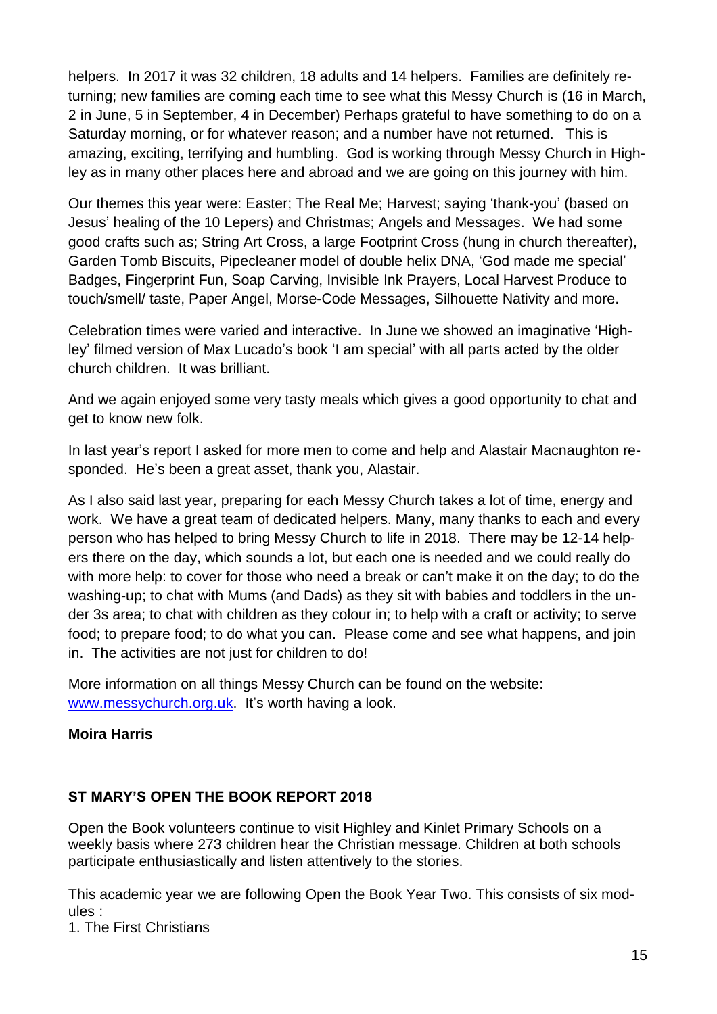helpers. In 2017 it was 32 children, 18 adults and 14 helpers. Families are definitely returning; new families are coming each time to see what this Messy Church is (16 in March, 2 in June, 5 in September, 4 in December) Perhaps grateful to have something to do on a Saturday morning, or for whatever reason; and a number have not returned. This is amazing, exciting, terrifying and humbling. God is working through Messy Church in Highley as in many other places here and abroad and we are going on this journey with him.

Our themes this year were: Easter; The Real Me; Harvest; saying 'thank-you' (based on Jesus' healing of the 10 Lepers) and Christmas; Angels and Messages. We had some good crafts such as; String Art Cross, a large Footprint Cross (hung in church thereafter), Garden Tomb Biscuits, Pipecleaner model of double helix DNA, 'God made me special' Badges, Fingerprint Fun, Soap Carving, Invisible Ink Prayers, Local Harvest Produce to touch/smell/ taste, Paper Angel, Morse-Code Messages, Silhouette Nativity and more.

Celebration times were varied and interactive. In June we showed an imaginative 'Highley' filmed version of Max Lucado's book 'I am special' with all parts acted by the older church children. It was brilliant.

And we again enjoyed some very tasty meals which gives a good opportunity to chat and get to know new folk.

In last year's report I asked for more men to come and help and Alastair Macnaughton responded. He's been a great asset, thank you, Alastair.

As I also said last year, preparing for each Messy Church takes a lot of time, energy and work. We have a great team of dedicated helpers. Many, many thanks to each and every person who has helped to bring Messy Church to life in 2018. There may be 12-14 helpers there on the day, which sounds a lot, but each one is needed and we could really do with more help: to cover for those who need a break or can't make it on the day; to do the washing-up; to chat with Mums (and Dads) as they sit with babies and toddlers in the under 3s area; to chat with children as they colour in; to help with a craft or activity; to serve food; to prepare food; to do what you can. Please come and see what happens, and join in. The activities are not just for children to do!

More information on all things Messy Church can be found on the website: [www.messychurch.org.uk.](http://www.messychurch.org.uk/) It's worth having a look.

# **Moira Harris**

# **ST MARY'S OPEN THE BOOK REPORT 2018**

Open the Book volunteers continue to visit Highley and Kinlet Primary Schools on a weekly basis where 273 children hear the Christian message. Children at both schools participate enthusiastically and listen attentively to the stories.

This academic year we are following Open the Book Year Two. This consists of six modules :

1. The First Christians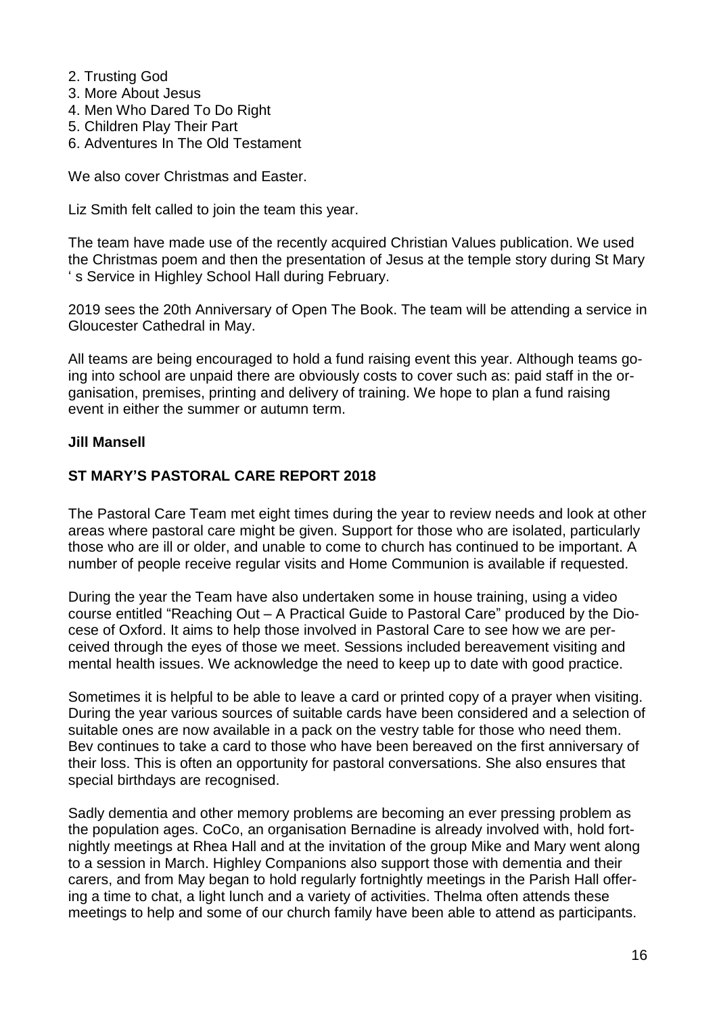- 2. Trusting God
- 3. More About Jesus
- 4. Men Who Dared To Do Right
- 5. Children Play Their Part
- 6. Adventures In The Old Testament

We also cover Christmas and Easter.

Liz Smith felt called to join the team this year.

The team have made use of the recently acquired Christian Values publication. We used the Christmas poem and then the presentation of Jesus at the temple story during St Mary ' s Service in Highley School Hall during February.

2019 sees the 20th Anniversary of Open The Book. The team will be attending a service in Gloucester Cathedral in May.

All teams are being encouraged to hold a fund raising event this year. Although teams going into school are unpaid there are obviously costs to cover such as: paid staff in the organisation, premises, printing and delivery of training. We hope to plan a fund raising event in either the summer or autumn term.

#### **Jill Mansell**

#### **ST MARY'S PASTORAL CARE REPORT 2018**

The Pastoral Care Team met eight times during the year to review needs and look at other areas where pastoral care might be given. Support for those who are isolated, particularly those who are ill or older, and unable to come to church has continued to be important. A number of people receive regular visits and Home Communion is available if requested.

During the year the Team have also undertaken some in house training, using a video course entitled "Reaching Out – A Practical Guide to Pastoral Care" produced by the Diocese of Oxford. It aims to help those involved in Pastoral Care to see how we are perceived through the eyes of those we meet. Sessions included bereavement visiting and mental health issues. We acknowledge the need to keep up to date with good practice.

Sometimes it is helpful to be able to leave a card or printed copy of a prayer when visiting. During the year various sources of suitable cards have been considered and a selection of suitable ones are now available in a pack on the vestry table for those who need them. Bev continues to take a card to those who have been bereaved on the first anniversary of their loss. This is often an opportunity for pastoral conversations. She also ensures that special birthdays are recognised.

Sadly dementia and other memory problems are becoming an ever pressing problem as the population ages. CoCo, an organisation Bernadine is already involved with, hold fortnightly meetings at Rhea Hall and at the invitation of the group Mike and Mary went along to a session in March. Highley Companions also support those with dementia and their carers, and from May began to hold regularly fortnightly meetings in the Parish Hall offering a time to chat, a light lunch and a variety of activities. Thelma often attends these meetings to help and some of our church family have been able to attend as participants.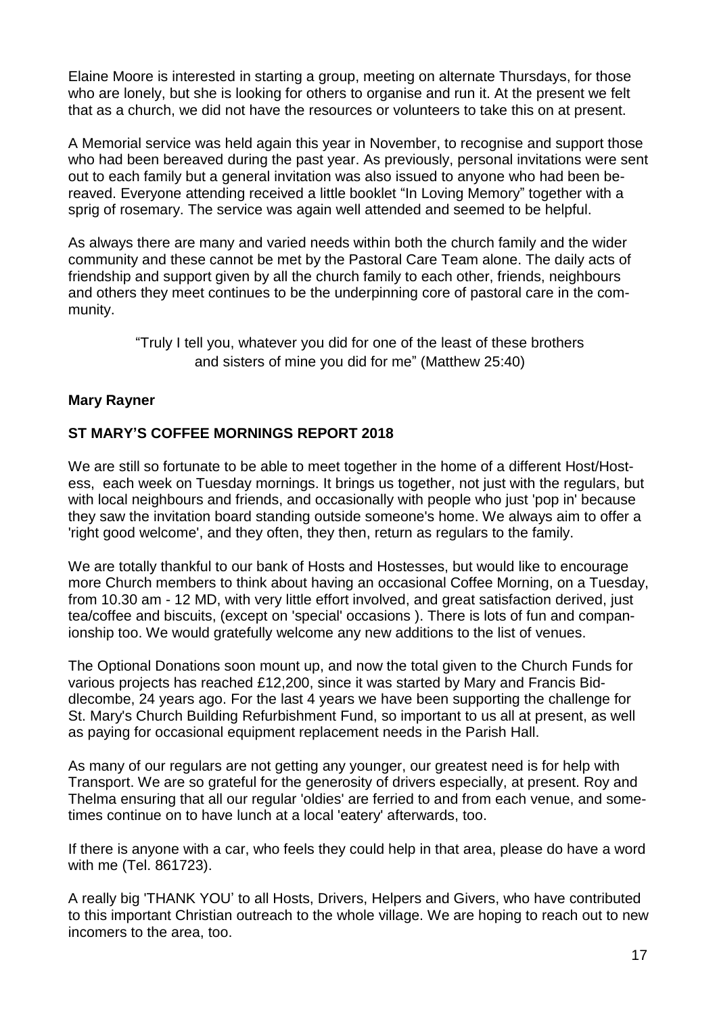Elaine Moore is interested in starting a group, meeting on alternate Thursdays, for those who are lonely, but she is looking for others to organise and run it. At the present we felt that as a church, we did not have the resources or volunteers to take this on at present.

A Memorial service was held again this year in November, to recognise and support those who had been bereaved during the past year. As previously, personal invitations were sent out to each family but a general invitation was also issued to anyone who had been bereaved. Everyone attending received a little booklet "In Loving Memory" together with a sprig of rosemary. The service was again well attended and seemed to be helpful.

As always there are many and varied needs within both the church family and the wider community and these cannot be met by the Pastoral Care Team alone. The daily acts of friendship and support given by all the church family to each other, friends, neighbours and others they meet continues to be the underpinning core of pastoral care in the community.

> "Truly I tell you, whatever you did for one of the least of these brothers and sisters of mine you did for me" (Matthew 25:40)

# **Mary Rayner**

# **ST MARY'S COFFEE MORNINGS REPORT 2018**

We are still so fortunate to be able to meet together in the home of a different Host/Hostess, each week on Tuesday mornings. It brings us together, not just with the regulars, but with local neighbours and friends, and occasionally with people who just 'pop in' because they saw the invitation board standing outside someone's home. We always aim to offer a 'right good welcome', and they often, they then, return as regulars to the family.

We are totally thankful to our bank of Hosts and Hostesses, but would like to encourage more Church members to think about having an occasional Coffee Morning, on a Tuesday, from 10.30 am - 12 MD, with very little effort involved, and great satisfaction derived, just tea/coffee and biscuits, (except on 'special' occasions ). There is lots of fun and companionship too. We would gratefully welcome any new additions to the list of venues.

The Optional Donations soon mount up, and now the total given to the Church Funds for various projects has reached £12,200, since it was started by Mary and Francis Biddlecombe, 24 years ago. For the last 4 years we have been supporting the challenge for St. Mary's Church Building Refurbishment Fund, so important to us all at present, as well as paying for occasional equipment replacement needs in the Parish Hall.

As many of our regulars are not getting any younger, our greatest need is for help with Transport. We are so grateful for the generosity of drivers especially, at present. Roy and Thelma ensuring that all our regular 'oldies' are ferried to and from each venue, and sometimes continue on to have lunch at a local 'eatery' afterwards, too.

If there is anyone with a car, who feels they could help in that area, please do have a word with me (Tel. 861723).

A really big 'THANK YOU' to all Hosts, Drivers, Helpers and Givers, who have contributed to this important Christian outreach to the whole village. We are hoping to reach out to new incomers to the area, too.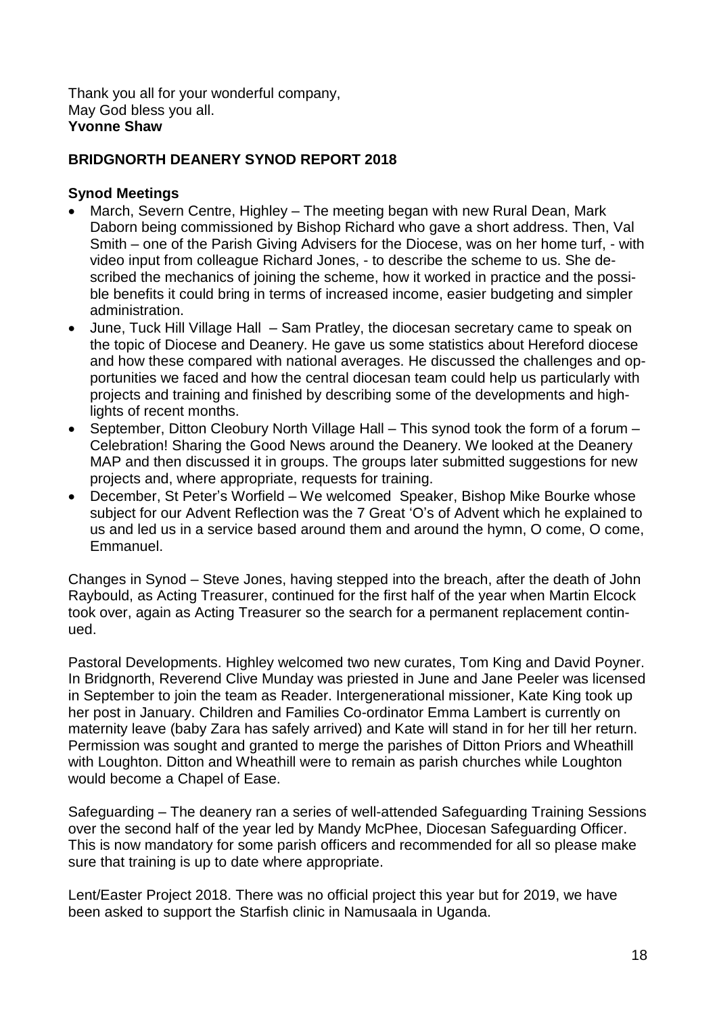Thank you all for your wonderful company, May God bless you all. **Yvonne Shaw**

#### **BRIDGNORTH DEANERY SYNOD REPORT 2018**

#### **Synod Meetings**

- March, Severn Centre, Highley The meeting began with new Rural Dean, Mark Daborn being commissioned by Bishop Richard who gave a short address. Then, Val Smith – one of the Parish Giving Advisers for the Diocese, was on her home turf, - with video input from colleague Richard Jones, - to describe the scheme to us. She described the mechanics of joining the scheme, how it worked in practice and the possible benefits it could bring in terms of increased income, easier budgeting and simpler administration.
- June, Tuck Hill Village Hall Sam Pratley, the diocesan secretary came to speak on the topic of Diocese and Deanery. He gave us some statistics about Hereford diocese and how these compared with national averages. He discussed the challenges and opportunities we faced and how the central diocesan team could help us particularly with projects and training and finished by describing some of the developments and highlights of recent months.
- September, Ditton Cleobury North Village Hall This synod took the form of a forum Celebration! Sharing the Good News around the Deanery. We looked at the Deanery MAP and then discussed it in groups. The groups later submitted suggestions for new projects and, where appropriate, requests for training.
- December, St Peter's Worfield We welcomed Speaker, Bishop Mike Bourke whose subject for our Advent Reflection was the 7 Great 'O's of Advent which he explained to us and led us in a service based around them and around the hymn, O come, O come, Emmanuel.

Changes in Synod – Steve Jones, having stepped into the breach, after the death of John Raybould, as Acting Treasurer, continued for the first half of the year when Martin Elcock took over, again as Acting Treasurer so the search for a permanent replacement continued.

Pastoral Developments. Highley welcomed two new curates, Tom King and David Poyner. In Bridgnorth, Reverend Clive Munday was priested in June and Jane Peeler was licensed in September to join the team as Reader. Intergenerational missioner, Kate King took up her post in January. Children and Families Co-ordinator Emma Lambert is currently on maternity leave (baby Zara has safely arrived) and Kate will stand in for her till her return. Permission was sought and granted to merge the parishes of Ditton Priors and Wheathill with Loughton. Ditton and Wheathill were to remain as parish churches while Loughton would become a Chapel of Ease.

Safeguarding – The deanery ran a series of well-attended Safeguarding Training Sessions over the second half of the year led by Mandy McPhee, Diocesan Safeguarding Officer. This is now mandatory for some parish officers and recommended for all so please make sure that training is up to date where appropriate.

Lent/Easter Project 2018. There was no official project this year but for 2019, we have been asked to support the Starfish clinic in Namusaala in Uganda.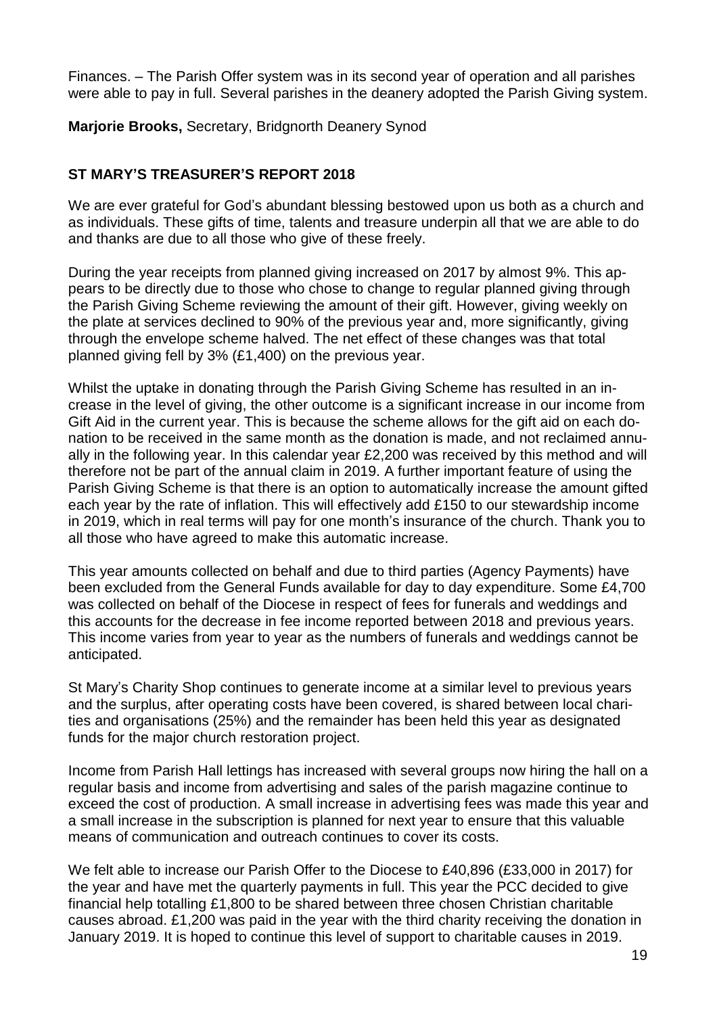Finances. – The Parish Offer system was in its second year of operation and all parishes were able to pay in full. Several parishes in the deanery adopted the Parish Giving system.

**Marjorie Brooks,** Secretary, Bridgnorth Deanery Synod

#### **ST MARY'S TREASURER'S REPORT 2018**

We are ever grateful for God's abundant blessing bestowed upon us both as a church and as individuals. These gifts of time, talents and treasure underpin all that we are able to do and thanks are due to all those who give of these freely.

During the year receipts from planned giving increased on 2017 by almost 9%. This appears to be directly due to those who chose to change to regular planned giving through the Parish Giving Scheme reviewing the amount of their gift. However, giving weekly on the plate at services declined to 90% of the previous year and, more significantly, giving through the envelope scheme halved. The net effect of these changes was that total planned giving fell by 3% (£1,400) on the previous year.

Whilst the uptake in donating through the Parish Giving Scheme has resulted in an increase in the level of giving, the other outcome is a significant increase in our income from Gift Aid in the current year. This is because the scheme allows for the gift aid on each donation to be received in the same month as the donation is made, and not reclaimed annually in the following year. In this calendar year £2,200 was received by this method and will therefore not be part of the annual claim in 2019. A further important feature of using the Parish Giving Scheme is that there is an option to automatically increase the amount gifted each year by the rate of inflation. This will effectively add £150 to our stewardship income in 2019, which in real terms will pay for one month's insurance of the church. Thank you to all those who have agreed to make this automatic increase.

This year amounts collected on behalf and due to third parties (Agency Payments) have been excluded from the General Funds available for day to day expenditure. Some £4,700 was collected on behalf of the Diocese in respect of fees for funerals and weddings and this accounts for the decrease in fee income reported between 2018 and previous years. This income varies from year to year as the numbers of funerals and weddings cannot be anticipated.

St Mary's Charity Shop continues to generate income at a similar level to previous years and the surplus, after operating costs have been covered, is shared between local charities and organisations (25%) and the remainder has been held this year as designated funds for the major church restoration project.

Income from Parish Hall lettings has increased with several groups now hiring the hall on a regular basis and income from advertising and sales of the parish magazine continue to exceed the cost of production. A small increase in advertising fees was made this year and a small increase in the subscription is planned for next year to ensure that this valuable means of communication and outreach continues to cover its costs.

We felt able to increase our Parish Offer to the Diocese to £40,896 (£33,000 in 2017) for the year and have met the quarterly payments in full. This year the PCC decided to give financial help totalling £1,800 to be shared between three chosen Christian charitable causes abroad. £1,200 was paid in the year with the third charity receiving the donation in January 2019. It is hoped to continue this level of support to charitable causes in 2019.